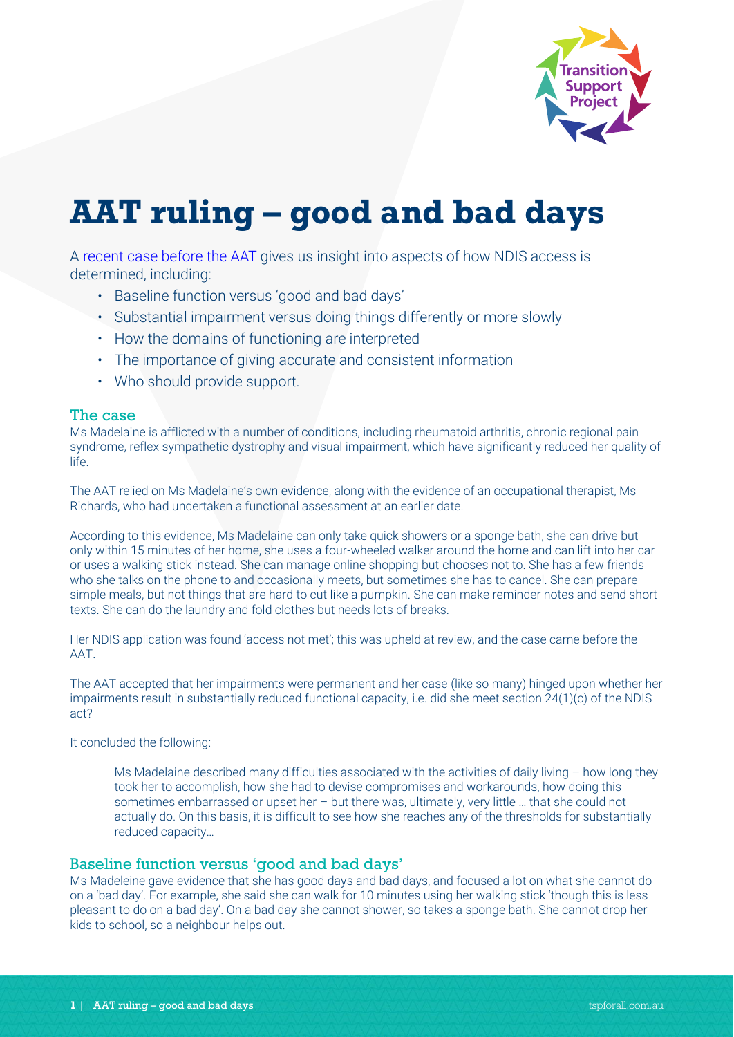

# **AAT ruling – good and bad days**

A [recent case before the AAT](http://www.austlii.edu.au/cgi-bin/viewdoc/au/cases/cth/AATA/2020/4025.html) gives us insight into aspects of how NDIS access is determined, including:

- Baseline function versus 'good and bad days'
- Substantial impairment versus doing things differently or more slowly
- How the domains of functioning are interpreted
- The importance of giving accurate and consistent information
- Who should provide support.

## The case

Ms Madelaine is afflicted with a number of conditions, including rheumatoid arthritis, chronic regional pain syndrome, reflex sympathetic dystrophy and visual impairment, which have significantly reduced her quality of life.

The AAT relied on Ms Madelaine's own evidence, along with the evidence of an occupational therapist, Ms Richards, who had undertaken a functional assessment at an earlier date.

According to this evidence, Ms Madelaine can only take quick showers or a sponge bath, she can drive but only within 15 minutes of her home, she uses a four-wheeled walker around the home and can lift into her car or uses a walking stick instead. She can manage online shopping but chooses not to. She has a few friends who she talks on the phone to and occasionally meets, but sometimes she has to cancel. She can prepare simple meals, but not things that are hard to cut like a pumpkin. She can make reminder notes and send short texts. She can do the laundry and fold clothes but needs lots of breaks.

Her NDIS application was found 'access not met'; this was upheld at review, and the case came before the AAT.

The AAT accepted that her impairments were permanent and her case (like so many) hinged upon whether her impairments result in substantially reduced functional capacity, i.e. did she meet section 24(1)(c) of the NDIS act?

It concluded the following:

Ms Madelaine described many difficulties associated with the activities of daily living – how long they took her to accomplish, how she had to devise compromises and workarounds, how doing this sometimes embarrassed or upset her – but there was, ultimately, very little … that she could not actually do. On this basis, it is difficult to see how she reaches any of the thresholds for substantially reduced capacity…

## Baseline function versus 'good and bad days'

Ms Madeleine gave evidence that she has good days and bad days, and focused a lot on what she cannot do on a 'bad day'. For example, she said she can walk for 10 minutes using her walking stick 'though this is less pleasant to do on a bad day'. On a bad day she cannot shower, so takes a sponge bath. She cannot drop her kids to school, so a neighbour helps out.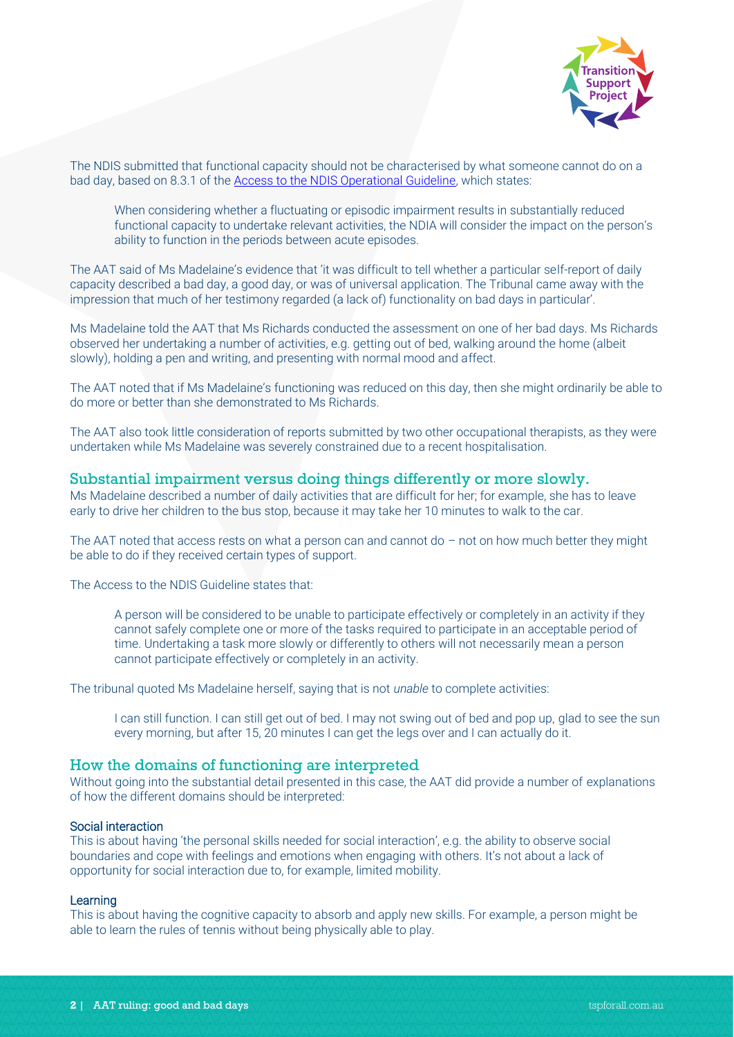

The NDIS submitted that functional capacity should not be characterised by what someone cannot do on a bad day, based on 8.3.1 of the [Access to the NDIS Operational Guideline,](https://www.ndis.gov.au/about-us/operational-guidelines/access-ndis-operational-guideline/list-b-permanent-conditions-which-functional-capacity-are-variable-and-further-assessment-functional-capacity-generally-required) which states:

When considering whether a fluctuating or episodic impairment results in substantially reduced functional capacity to undertake relevant activities, the NDIA will consider the impact on the person's ability to function in the periods between acute episodes.

The AAT said of Ms Madelaine's evidence that 'it was difficult to tell whether a particular self-report of daily capacity described a bad day, a good day, or was of universal application. The Tribunal came away with the impression that much of her testimony regarded (a lack of) functionality on bad days in particular'.

Ms Madelaine told the AAT that Ms Richards conducted the assessment on one of her bad days. Ms Richards observed her undertaking a number of activities, e.g. getting out of bed, walking around the home (albeit slowly), holding a pen and writing, and presenting with normal mood and affect.

The AAT noted that if Ms Madelaine's functioning was reduced on this day, then she might ordinarily be able to do more or better than she demonstrated to Ms Richards.

The AAT also took little consideration of reports submitted by two other occupational therapists, as they were undertaken while Ms Madelaine was severely constrained due to a recent hospitalisation.

## Substantial impairment versus doing things differently or more slowly.

Ms Madelaine described a number of daily activities that are difficult for her; for example, she has to leave early to drive her children to the bus stop, because it may take her 10 minutes to walk to the car.

The AAT noted that access rests on what a person can and cannot do  $-$  not on how much better they might be able to do if they received certain types of support.

The Access to the NDIS Guideline states that:

A person will be considered to be unable to participate effectively or completely in an activity if they cannot safely complete one or more of the tasks required to participate in an acceptable period of time. Undertaking a task more slowly or differently to others will not necessarily mean a person cannot participate effectively or completely in an activity.

The tribunal quoted Ms Madelaine herself, saying that is not *unable* to complete activities:

I can still function. I can still get out of bed. I may not swing out of bed and pop up, glad to see the sun every morning, but after 15, 20 minutes I can get the legs over and I can actually do it.

#### How the domains of functioning are interpreted

Without going into the substantial detail presented in this case, the AAT did provide a number of explanations of how the different domains should be interpreted:

#### Social interaction

This is about having 'the personal skills needed for social interaction', e.g. the ability to observe social boundaries and cope with feelings and emotions when engaging with others. It's not about a lack of opportunity for social interaction due to, for example, limited mobility.

#### Learning

This is about having the cognitive capacity to absorb and apply new skills. For example, a person might be able to learn the rules of tennis without being physically able to play.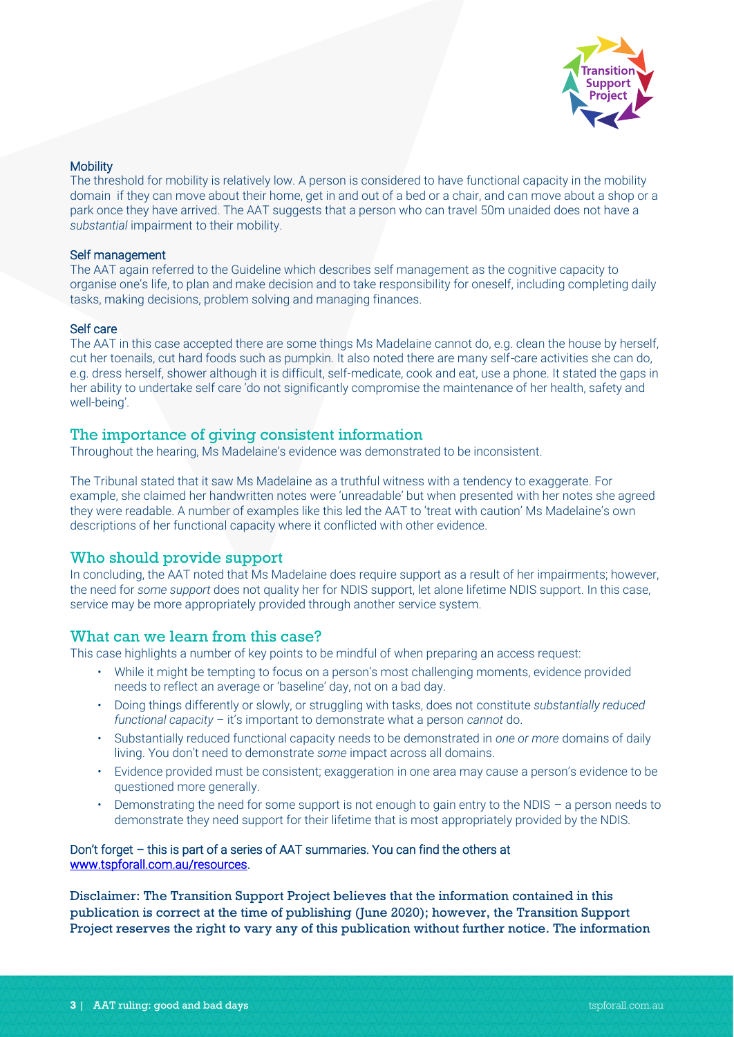

#### **Mobility**

The threshold for mobility is relatively low. A person is considered to have functional capacity in the mobility domain if they can move about their home, get in and out of a bed or a chair, and can move about a shop or a park once they have arrived. The AAT suggests that a person who can travel 50m unaided does not have a *substantial* impairment to their mobility.

#### Self management

The AAT again referred to the Guideline which describes self management as the cognitive capacity to organise one's life, to plan and make decision and to take responsibility for oneself, including completing daily tasks, making decisions, problem solving and managing finances.

#### Self care

The AAT in this case accepted there are some things Ms Madelaine cannot do, e.g. clean the house by herself, cut her toenails, cut hard foods such as pumpkin. It also noted there are many self-care activities she can do, e.g. dress herself, shower although it is difficult, self-medicate, cook and eat, use a phone. It stated the gaps in her ability to undertake self care 'do not significantly compromise the maintenance of her health, safety and well-being'.

# The importance of giving consistent information

Throughout the hearing, Ms Madelaine's evidence was demonstrated to be inconsistent.

The Tribunal stated that it saw Ms Madelaine as a truthful witness with a tendency to exaggerate. For example, she claimed her handwritten notes were 'unreadable' but when presented with her notes she agreed they were readable. A number of examples like this led the AAT to 'treat with caution' Ms Madelaine's own descriptions of her functional capacity where it conflicted with other evidence.

# Who should provide support

In concluding, the AAT noted that Ms Madelaine does require support as a result of her impairments; however, the need for *some support* does not quality her for NDIS support, let alone lifetime NDIS support. In this case, service may be more appropriately provided through another service system.

# What can we learn from this case?

This case highlights a number of key points to be mindful of when preparing an access request:

- While it might be tempting to focus on a person's most challenging moments, evidence provided needs to reflect an average or 'baseline' day, not on a bad day.
- Doing things differently or slowly, or struggling with tasks, does not constitute *substantially reduced functional capacity* – it's important to demonstrate what a person *cannot* do.
- Substantially reduced functional capacity needs to be demonstrated in *one or more* domains of daily living. You don't need to demonstrate *some* impact across all domains.
- Evidence provided must be consistent; exaggeration in one area may cause a person's evidence to be questioned more generally.
- Demonstrating the need for some support is not enough to gain entry to the NDIS a person needs to demonstrate they need support for their lifetime that is most appropriately provided by the NDIS.

#### Don't forget – this is part of a series of AAT summaries. You can find the others at [www.tspforall.com.au/resources.](http://www.tspforall.com.au/resources)

Disclaimer: The Transition Support Project believes that the information contained in this publication is correct at the time of publishing (June 2020); however, the Transition Support Project reserves the right to vary any of this publication without further notice. The information